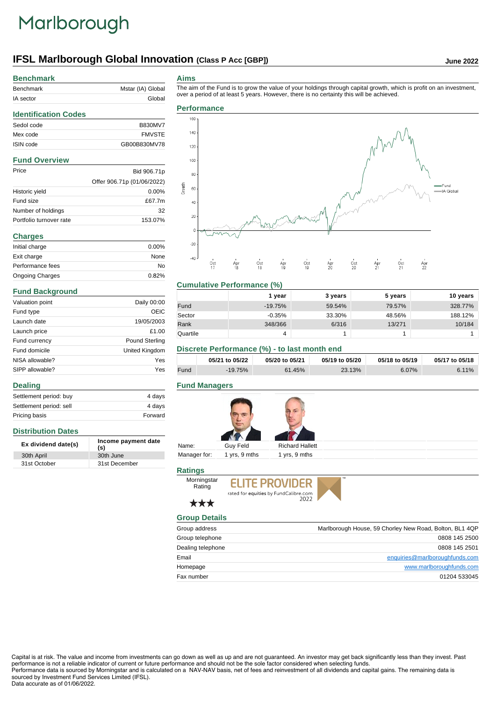## Marlborough

## **IFSL Marlborough Global Innovation (Class P Acc [GBP]) June 2022**

### **Benchmark**

| Benchmark | Mstar (IA) Global |  |  |
|-----------|-------------------|--|--|
| IA sector | Global            |  |  |

#### **Aims**

 $-20$ 

The aim of the Fund is to grow the value of your holdings through capital growth, which is profit on an investment,

#### **Identification Codes** Sedol code B830MV7 Mex code FMVSTE ISIN code GB00B830MV78 **Fund Overview** Price Bid 906.71p Offer 906.71p (01/06/2022) Historic yield 0.00% Fund size  $£67.7m$ Number of holdings 32 Portfolio turnover rate 153.07% **Charges** Initial charge 0.00% Exit charge None Performance fees No Ongoing Charges 0.82%

#### **Fund Background**

**Distribution Dates**

**Dealing**

| Valuation point | Daily 00:00           |
|-----------------|-----------------------|
| Fund type       | OEIC                  |
| Launch date     | 19/05/2003            |
| Launch price    | £1.00                 |
| Fund currency   | <b>Pound Sterling</b> |
| Fund domicile   | United Kingdom        |
| NISA allowable? | Yes                   |
| SIPP allowable? | Yes                   |

Settlement period: buy 4 days Settlement period: sell 4 days Pricing basis **Forward** 

**Ex dividend date(s) Income payment date (s)**

30th April 30th June 31st October 31st December





#### **Cumulative Performance (%)**

|          | 1 year    | 3 years | 5 years | 10 years |
|----------|-----------|---------|---------|----------|
| Fund     | $-19.75%$ | 59.54%  | 79.57%  | 328.77%  |
| Sector   | $-0.35%$  | 33.30%  | 48.56%  | 188.12%  |
| Rank     | 348/366   | 6/316   | 13/271  | 10/184   |
| Quartile | 4         |         |         |          |

#### **Discrete Performance (%) - to last month end**

|      | 05/21 to 05/22 | 05/20 to 05/21 | 05/19 to 05/20 | 05/18 to 05/19 | 05/17 to 05/18 |
|------|----------------|----------------|----------------|----------------|----------------|
| Fund | $-19.75\%$     | 61.45%         | 23.13%         | $6.07\%$       | 6.11%          |

#### **Fund Managers**



#### **Ratings**



### \*\*\*

Rating

| <b>Group Details</b> |                                                         |
|----------------------|---------------------------------------------------------|
| Group address        | Marlborough House, 59 Chorley New Road, Bolton, BL1 4QP |
| Group telephone      | 0808 145 2500                                           |
| Dealing telephone    | 0808 145 2501                                           |
| Email                | enquiries@marlboroughfunds.com                          |
| Homepage             | www.marlboroughfunds.com                                |
| Fax number           | 01204 533045                                            |

Capital is at risk. The value and income from investments can go down as well as up and are not guaranteed. An investor may get back significantly less than they invest. Past performance is not a reliable indicator of current or future performance and should not be the sole factor considered when selecting funds. Performance data is sourced by Morningstar and is calculated on a NAV-NAV basis, net of fees and reinvestment of all dividends and capital gains. The remaining data is

sourced by Investment Fund Services Limited (IFSL). Data accurate as of 01/06/2022.